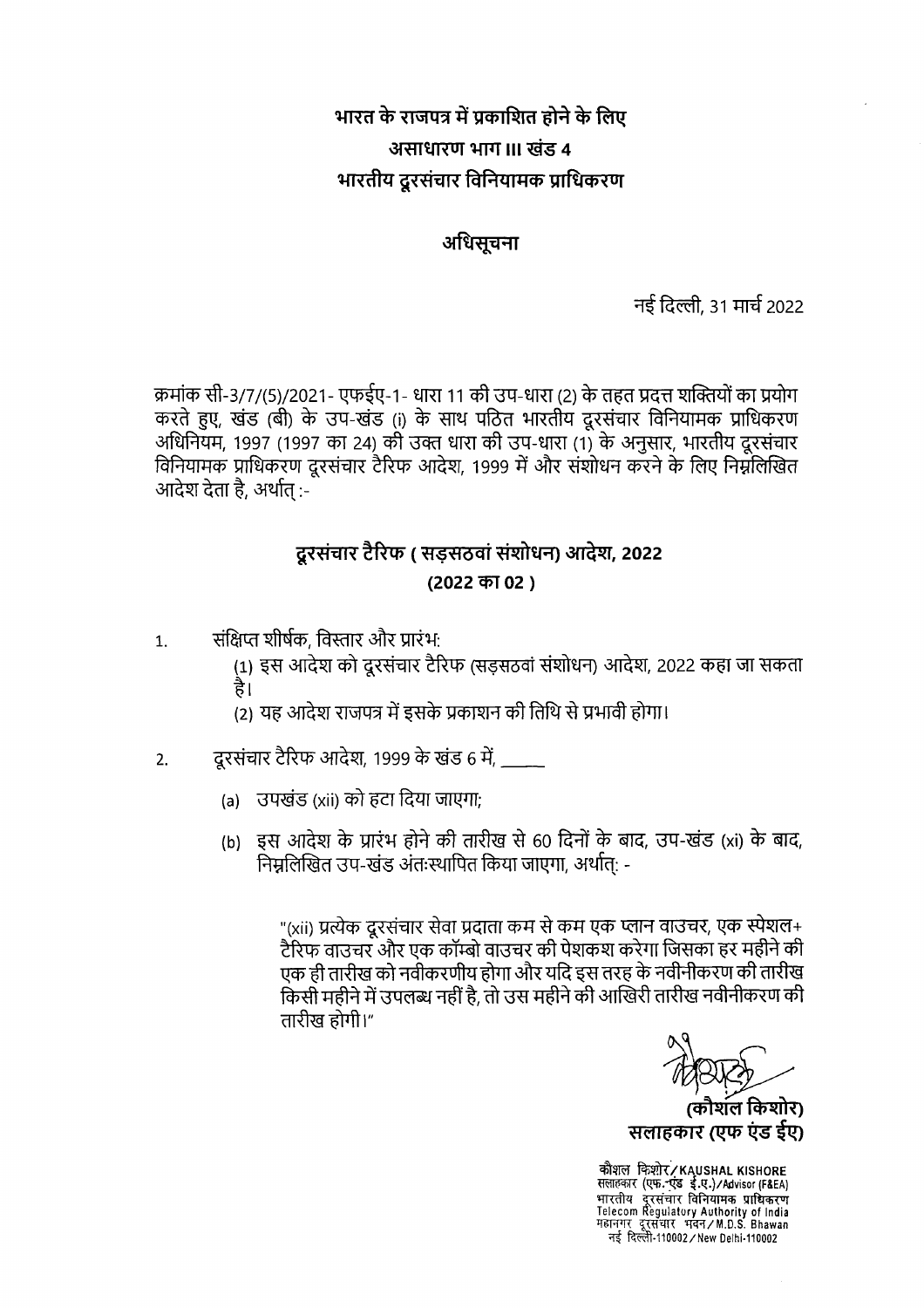# भारत के राजपत्र में प्रकाशित होने के लिए असाधारण भाग ॥। खंड ४ भारतीय दूरसंचार विनियामक प्राधिकरण

#### अधिसूचना

नई दिल्ली, 31 मार्च 2022

क्रमांक सी-3/7/(5)/2021- एफईए-1- धारा 11 की उप-धारा (2) के तहत प्रदत्त शक्तियों का प्रयोग करते हुए, खंड (बी) के उप-खंड (i) के साथ पठित भारतीय दूरसंचार विनियामक प्राधिकरण अधिनियम, 1997 (1997 का 24) की उक्त धारा की उप-धारा (1) के अनुसार, भारतीय दूरसंचार विनियामक प्राधिकरण दूरसंचार टैरिफ आदेश, 1999 में और संशोधन करने के लिए निम्नलिखित आदेश देता है, अर्थात :-

## दुरसंचार टैरिफ ( सडसठवां संशोधन) आदेश, 2022 (2022 का 02)

- संक्षिप्त शीर्षक. विस्तार और प्रारंभ:  $1.$ 
	- (1) इस आदेश को दूरसंचार टैरिफ (सड़सठवां संशोधन) आदेश, 2022 कहा जा सकता है।
	- (2) यह आदेश राजपत्र में इसके प्रकाशन की तिथि से प्रभावी होगा।
- दूरसंचार टैरिफ आदेश, 1999 के खंड 6 में, 2.
	- (a) उपखंड (xii) को हटा दिया जाएगा:
	- (b) इस आदेश के प्रारंभ होने की तारीख से 60 दिनों के बाद, उप-खंड (xi) के बाद, निम्नलिखित उप-खंड अंतःस्थापित किया जाएगा, अर्थात: -

"(xii) प्रत्येक दूरसंचार सेवा प्रदाता कम से कम एक प्लान वाउचर, एक स्पेशल+ टैरिफ वाउचर और एक कॉम्बो वाउचर की पेशकश करेगा जिसका हर महीने की एक ही तारीख को नवीकरणीय होगा और यदि इस तरह के नवीनीकरण की तारीख किसी महीने में उपलब्ध नहीं है, तो उस महीने की आखिरी तारीख नवीनीकरण की तारीख होगी।"

(कौशल किशोर) सलाहकार (एफ एंड ईए)

कौशल किशोर/KAUSHAL KISHORE<br>सलाहकार (एफ.-एंड ई.ए.)/Advisor (F&EA)<br>भारतीय दूरसंचार विनियामक प्राधिकरण<br>Telecom Regulatory Authority of India<br>महानगर दूरसंचार भवन/M.D.S. Bhawan नई दिल्ली-110002 / New Delhi-110002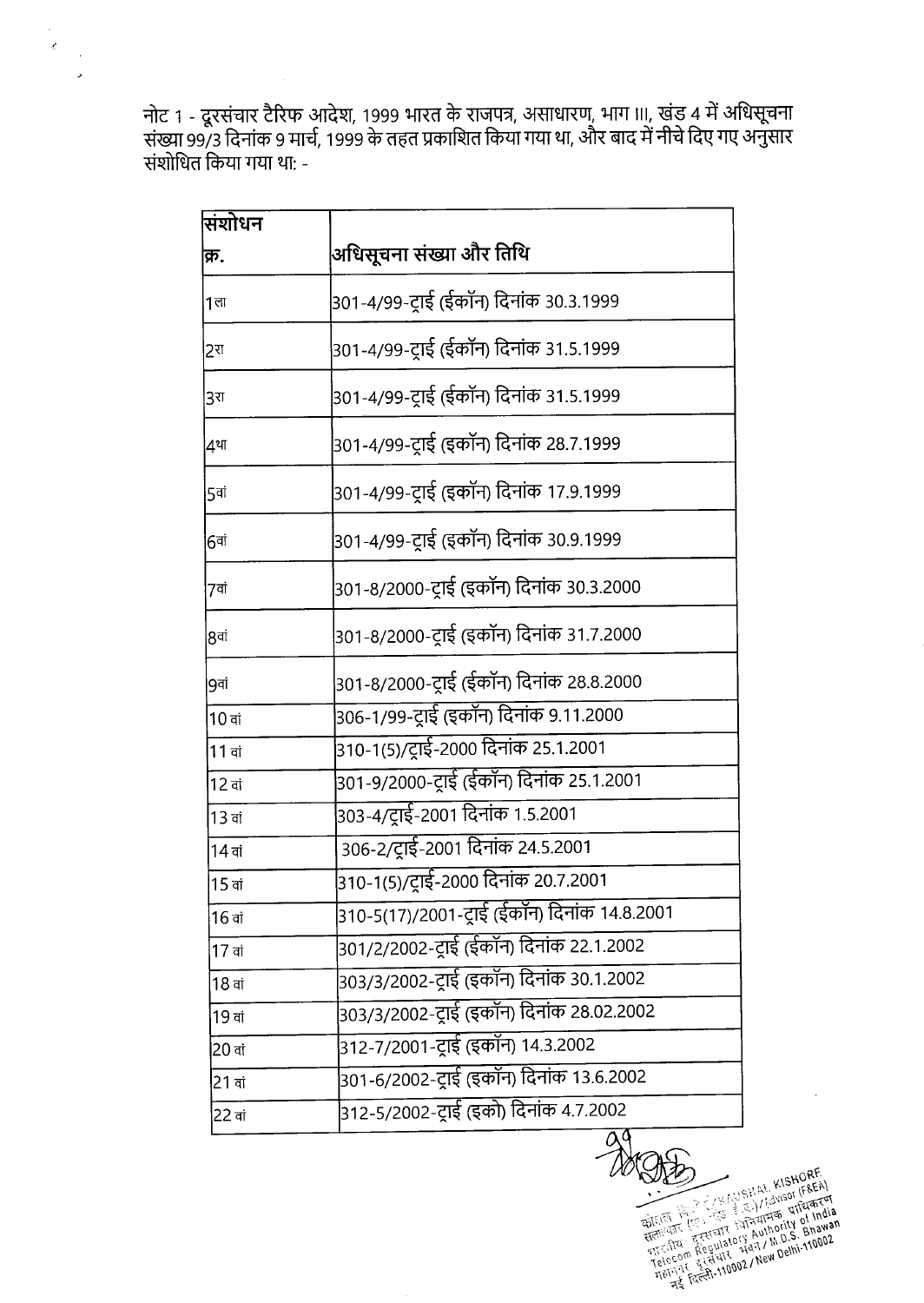नोट 1 - दूरसंचार टैरिफ आदेश, 1999 भारत के राजपत्र, असाधारण, भाग III, खंड 4 में अधिसूचना<br>संख्या 99/3 दिनांक 9 मार्च, 1999 के तहत प्रकाशित किया गया था, और बाद में नीचे दिए गए अनुसार संशोधित किया गया था: -

 $\bar{\bar{z}}$  $\bar{\mathcal{L}}$  $\bar{z}$ 

| सिंशोधन        |                                             |
|----------------|---------------------------------------------|
| क्र.           | अधिसूचना संख्या और तिथि                     |
| 1 <sub>π</sub> | 301-4/99-ट्राई (ईकॉन) दिनांक 30.3.1999      |
| 2रा            | 301-4/99-ट्राई (ईकॉन) दिनांक 31.5.1999      |
| 3रा            | 301-4/99-ट्राई (ईकॉन) दिनांक 31.5.1999      |
| ∣4था           | 301-4/99-ट्राई (इकॉन) दिनांक 28.7.1999      |
| 5वां           | 301-4/99-ट्राई (इकॉन) दिनांक 17.9.1999      |
| 6वां           | 301-4/99-ट्राई (इकॉन) दिनांक 30.9.1999      |
| 7वां           | 301-8/2000-ट्राई (इकॉन) दिनांक 30.3.2000    |
| 8वां           | 301-8/2000-ट्राई (इकॉन) दिनांक 31.7.2000    |
| 9वां           | 301-8/2000-ट्राई (ईकॉन) दिनांक 28.8.2000    |
| $10$ वां       | 306-1/99-ट्राई (इकॉन) दिनांक 9.11.2000      |
| 11 वां         | 310-1(5)/ट्राई-2000 दिनांक 25.1.2001        |
| $12$ वां       | 301-9/2000-ट्राई (ईकॉन) दिनांक 25.1.2001    |
| $13$ वां       | 303-4/ट्राई-2001 दिनांक 1.5.2001            |
| 14 वां         | 306-2/ट्राई-2001 दिनांक 24.5.2001           |
| $15$ वां       | 310-1(5)/ट्राई-2000 दिनांक 20.7.2001        |
| 16 वां         | 310-5(17)/2001-ट्राई (ईकान) दिनाक 14.8.2001 |
| 17 वां         | 301/2/2002-ट्राई (ईकॉन) दिनांक 22.1.2002    |
| $18$ वां       | 303/3/2002-ट्राई (इकॉन) दिनांक 30.1.2002    |
| $19$ वां       | 303/3/2002-ट्राई (इकॉन) दिनांक 28.02.2002   |
| 20 वां         |                                             |
| 21 वां         | 301-6/2002-ट्राई (इकॉन) दिनांक 13.6.2002    |
| 22 वां         | 312-5/2002-ट्राई (इको) दिनांक 4.7.2002      |

Eligit (Figure 110002/10002/10002/16/1745)  $\frac{1}{2}$ 

 $\alpha$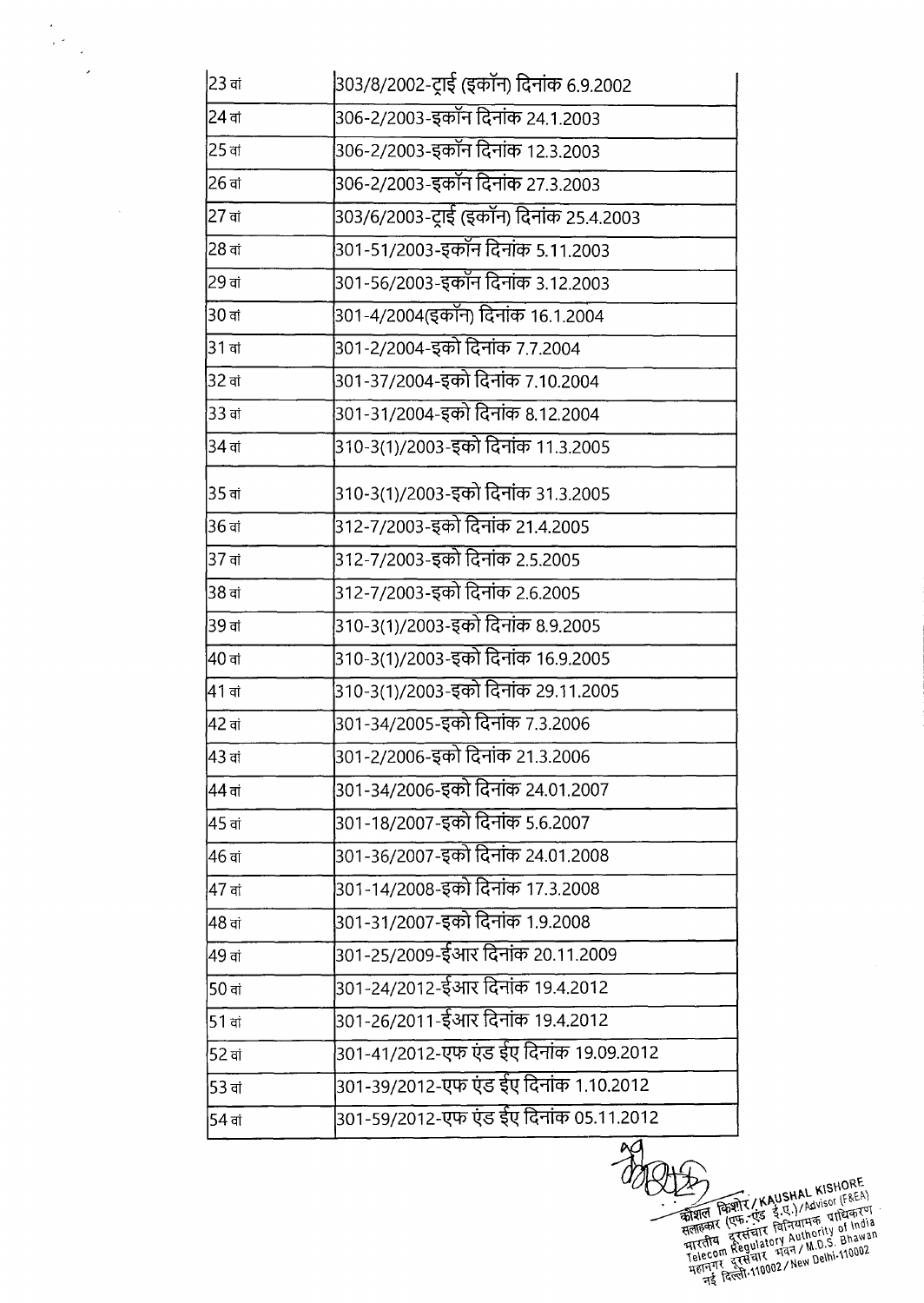| 306-2/2003-इकॉन दिनांक 24.1.2003<br>$24$ वां<br>306-2/2003-इकॉन दिनांक 12.3.2003<br>306-2/2003-इकॉन दिनांक 27.3.2003<br>303/6/2003-ट्राई (इकॉन) दिनांक 25.4.2003<br>301-51/2003-इकॉन दिनांक 5.11.2003<br>301-56/2003-इकॉन दिनांक 3.12.2003<br>301-4/2004(इकॉन) दिनांक 16.1.2004<br>301-2/2004-इको दिनांक 7.7.2004<br>301-37/2004-इको दिनांक 7.10.2004<br>301-31/2004-इको दिनांक 8.12.2004<br>310-3(1)/2003-इको दिनांक 11.3.2005<br>310-3(1)/2003-इको दिनांक 31.3.2005<br>312-7/2003-इको दिनांक 21.4.2005<br>312-7/2003-इको दिनांक 2.5.2005<br>312-7/2003-इको दिनांक 2.6.2005<br>310-3(1)/2003-इको दिनांक 8.9.2005<br>310-3(1)/2003-इको दिनांक 16.9.2005<br>310-3(1)/2003-इको दिनांक 29.11.2005<br>301-34/2005-इको दिनांक 7.3.2006<br>301-2/2006-इको दिनांक 21.3.2006<br>301-34/2006-इको दिनांक 24.01.2007<br>44 ਗਂ<br>301-18/2007-इको दिनांक 5.6.2007<br>301-36/2007-इको दिनांक 24.01.2008<br> 301-14/2008-इको दिनांक 17.3.2008<br>$47$ वां<br> 301-31/2007-इको दिनांक 1.9.2008<br>301-25/2009-ईआर दिनांक 20.11.2009<br>49 ਗਂ<br> 301-24/2012-ईआर दिनांक 19.4.2012<br>$50$ वां<br>301-26/2011-ईआर दिनांक 19.4.2012<br>51 वां<br>301-41/2012-एफ एंड ईए दिनांक 19.09.2012<br>52 <sub>π</sub><br>301-39/2012-एफ एंड ईए दिनांक 1.10.2012<br>53 वां<br>301-59/2012-एफ एंड ईए दिनांक 05.11.2012<br>54 वां | 23 वां         | 303/8/2002-ट्राई (इकॉन) दिनांक 6.9.2002 |
|-----------------------------------------------------------------------------------------------------------------------------------------------------------------------------------------------------------------------------------------------------------------------------------------------------------------------------------------------------------------------------------------------------------------------------------------------------------------------------------------------------------------------------------------------------------------------------------------------------------------------------------------------------------------------------------------------------------------------------------------------------------------------------------------------------------------------------------------------------------------------------------------------------------------------------------------------------------------------------------------------------------------------------------------------------------------------------------------------------------------------------------------------------------------------------------------------------------------------------------------------------------------------------------------------------|----------------|-----------------------------------------|
|                                                                                                                                                                                                                                                                                                                                                                                                                                                                                                                                                                                                                                                                                                                                                                                                                                                                                                                                                                                                                                                                                                                                                                                                                                                                                                     |                |                                         |
|                                                                                                                                                                                                                                                                                                                                                                                                                                                                                                                                                                                                                                                                                                                                                                                                                                                                                                                                                                                                                                                                                                                                                                                                                                                                                                     | 25 वां         |                                         |
|                                                                                                                                                                                                                                                                                                                                                                                                                                                                                                                                                                                                                                                                                                                                                                                                                                                                                                                                                                                                                                                                                                                                                                                                                                                                                                     | 126 वां        |                                         |
|                                                                                                                                                                                                                                                                                                                                                                                                                                                                                                                                                                                                                                                                                                                                                                                                                                                                                                                                                                                                                                                                                                                                                                                                                                                                                                     | 27 वां         |                                         |
|                                                                                                                                                                                                                                                                                                                                                                                                                                                                                                                                                                                                                                                                                                                                                                                                                                                                                                                                                                                                                                                                                                                                                                                                                                                                                                     | 28 वां         |                                         |
|                                                                                                                                                                                                                                                                                                                                                                                                                                                                                                                                                                                                                                                                                                                                                                                                                                                                                                                                                                                                                                                                                                                                                                                                                                                                                                     | 29 ਗਂ          |                                         |
|                                                                                                                                                                                                                                                                                                                                                                                                                                                                                                                                                                                                                                                                                                                                                                                                                                                                                                                                                                                                                                                                                                                                                                                                                                                                                                     | 30 वां         |                                         |
|                                                                                                                                                                                                                                                                                                                                                                                                                                                                                                                                                                                                                                                                                                                                                                                                                                                                                                                                                                                                                                                                                                                                                                                                                                                                                                     | 31 वां         |                                         |
|                                                                                                                                                                                                                                                                                                                                                                                                                                                                                                                                                                                                                                                                                                                                                                                                                                                                                                                                                                                                                                                                                                                                                                                                                                                                                                     | 32 वां         |                                         |
|                                                                                                                                                                                                                                                                                                                                                                                                                                                                                                                                                                                                                                                                                                                                                                                                                                                                                                                                                                                                                                                                                                                                                                                                                                                                                                     | 33 वां         |                                         |
|                                                                                                                                                                                                                                                                                                                                                                                                                                                                                                                                                                                                                                                                                                                                                                                                                                                                                                                                                                                                                                                                                                                                                                                                                                                                                                     | $34$ वां       |                                         |
|                                                                                                                                                                                                                                                                                                                                                                                                                                                                                                                                                                                                                                                                                                                                                                                                                                                                                                                                                                                                                                                                                                                                                                                                                                                                                                     | 35 वां         |                                         |
|                                                                                                                                                                                                                                                                                                                                                                                                                                                                                                                                                                                                                                                                                                                                                                                                                                                                                                                                                                                                                                                                                                                                                                                                                                                                                                     | 36 ਗ           |                                         |
|                                                                                                                                                                                                                                                                                                                                                                                                                                                                                                                                                                                                                                                                                                                                                                                                                                                                                                                                                                                                                                                                                                                                                                                                                                                                                                     | 37 वां         |                                         |
|                                                                                                                                                                                                                                                                                                                                                                                                                                                                                                                                                                                                                                                                                                                                                                                                                                                                                                                                                                                                                                                                                                                                                                                                                                                                                                     | 38 वां         |                                         |
|                                                                                                                                                                                                                                                                                                                                                                                                                                                                                                                                                                                                                                                                                                                                                                                                                                                                                                                                                                                                                                                                                                                                                                                                                                                                                                     | 39 ਗਂ          |                                         |
|                                                                                                                                                                                                                                                                                                                                                                                                                                                                                                                                                                                                                                                                                                                                                                                                                                                                                                                                                                                                                                                                                                                                                                                                                                                                                                     | 40 वां         |                                         |
|                                                                                                                                                                                                                                                                                                                                                                                                                                                                                                                                                                                                                                                                                                                                                                                                                                                                                                                                                                                                                                                                                                                                                                                                                                                                                                     | $41$ वां       |                                         |
|                                                                                                                                                                                                                                                                                                                                                                                                                                                                                                                                                                                                                                                                                                                                                                                                                                                                                                                                                                                                                                                                                                                                                                                                                                                                                                     | 42 वां         |                                         |
|                                                                                                                                                                                                                                                                                                                                                                                                                                                                                                                                                                                                                                                                                                                                                                                                                                                                                                                                                                                                                                                                                                                                                                                                                                                                                                     | 43 वां         |                                         |
|                                                                                                                                                                                                                                                                                                                                                                                                                                                                                                                                                                                                                                                                                                                                                                                                                                                                                                                                                                                                                                                                                                                                                                                                                                                                                                     |                |                                         |
|                                                                                                                                                                                                                                                                                                                                                                                                                                                                                                                                                                                                                                                                                                                                                                                                                                                                                                                                                                                                                                                                                                                                                                                                                                                                                                     | 45 वां         |                                         |
|                                                                                                                                                                                                                                                                                                                                                                                                                                                                                                                                                                                                                                                                                                                                                                                                                                                                                                                                                                                                                                                                                                                                                                                                                                                                                                     | 46 वां         |                                         |
|                                                                                                                                                                                                                                                                                                                                                                                                                                                                                                                                                                                                                                                                                                                                                                                                                                                                                                                                                                                                                                                                                                                                                                                                                                                                                                     |                |                                         |
|                                                                                                                                                                                                                                                                                                                                                                                                                                                                                                                                                                                                                                                                                                                                                                                                                                                                                                                                                                                                                                                                                                                                                                                                                                                                                                     | <b>148</b> वां |                                         |
|                                                                                                                                                                                                                                                                                                                                                                                                                                                                                                                                                                                                                                                                                                                                                                                                                                                                                                                                                                                                                                                                                                                                                                                                                                                                                                     |                |                                         |
|                                                                                                                                                                                                                                                                                                                                                                                                                                                                                                                                                                                                                                                                                                                                                                                                                                                                                                                                                                                                                                                                                                                                                                                                                                                                                                     |                |                                         |
|                                                                                                                                                                                                                                                                                                                                                                                                                                                                                                                                                                                                                                                                                                                                                                                                                                                                                                                                                                                                                                                                                                                                                                                                                                                                                                     |                |                                         |
|                                                                                                                                                                                                                                                                                                                                                                                                                                                                                                                                                                                                                                                                                                                                                                                                                                                                                                                                                                                                                                                                                                                                                                                                                                                                                                     |                |                                         |
|                                                                                                                                                                                                                                                                                                                                                                                                                                                                                                                                                                                                                                                                                                                                                                                                                                                                                                                                                                                                                                                                                                                                                                                                                                                                                                     |                |                                         |
|                                                                                                                                                                                                                                                                                                                                                                                                                                                                                                                                                                                                                                                                                                                                                                                                                                                                                                                                                                                                                                                                                                                                                                                                                                                                                                     |                |                                         |

 $\overline{\phantom{a}}$ 

 $\mathcal{A}^{\mathcal{A}}$ 

COLLES CREATED MANUSHAL KISHORE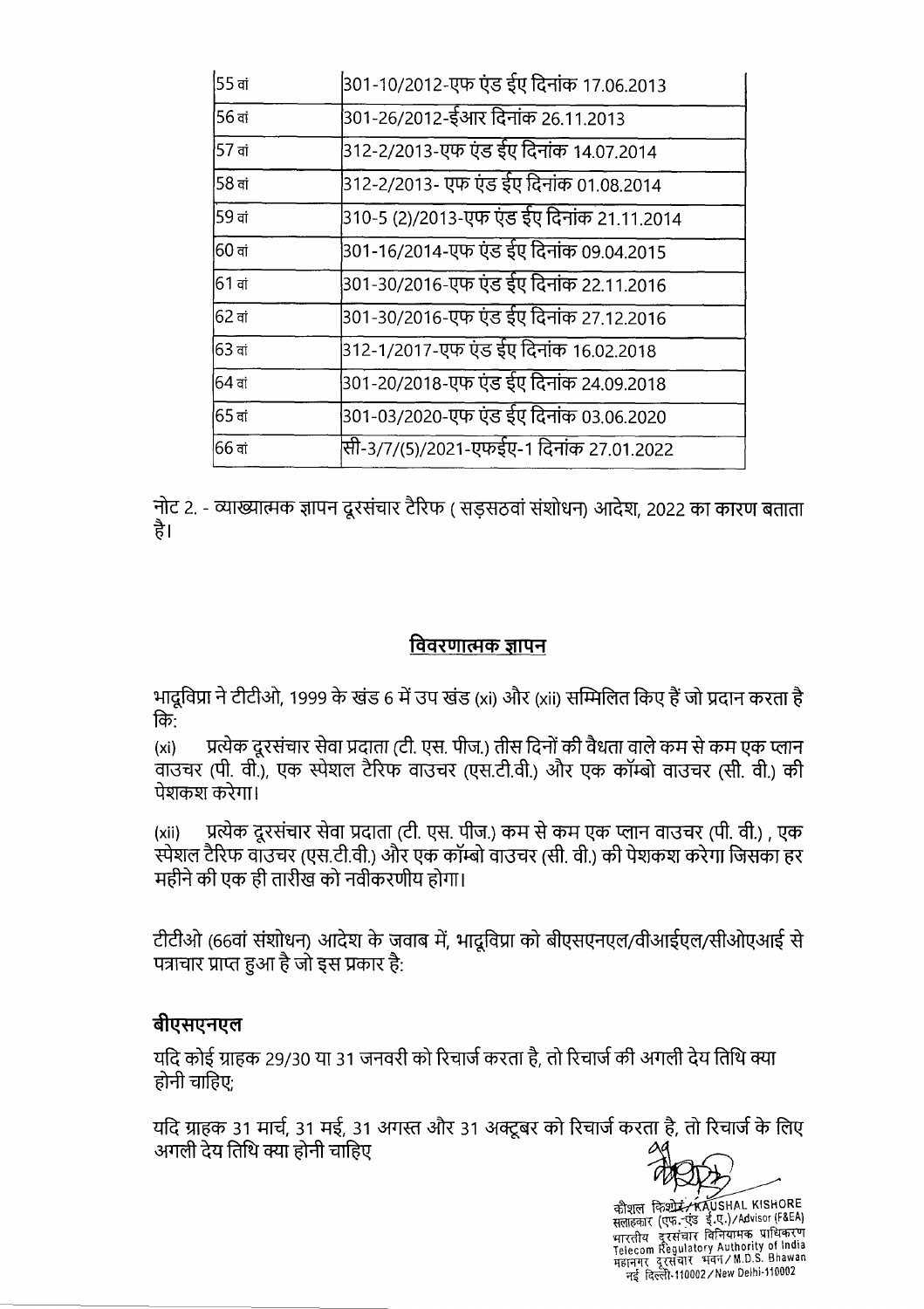| 55 वां             | 301-10/2012-एफ एंड ईए दिनांक 17.06.2013    |
|--------------------|--------------------------------------------|
| $56$ वां           | 301-26/2012-ईआर दिनांक 26.11.2013          |
| 57 वां             | 312-2/2013-एफ एंड ईए दिनांक 14.07.2014     |
| 58 वां             | 312-2/2013- एफ एंड ईए दिनांक 01.08.2014    |
| 59 ਗਂ              | 310-5 (2)/2013-एफ एंड ईए दिनांक 21.11.2014 |
| 60 वां             | 301-16/2014-एफ एंड ईए दिनांक 09.04.2015    |
| 61 वां             | 301-30/2016-एफ एंड ईए दिनांक 22.11.2016    |
| $62$ वां           | 301-30/2016-एफ एंड ईए दिनांक 27.12.2016    |
| $63$ वां           | 312-1/2017-एफ एंड ईए दिनांक 16.02.2018     |
| 64 वां             | 301-20/2018-एफ एंड ईए दिनांक 24.09.2018    |
| <sup>1</sup> 65 ਗਂ | 301-03/2020-एफ एंड ईए दिनांक 03.06.2020    |
| 66 वां             | सी-3/7/(5)/2021-एफईए-1 दिनांक 27.01.2022   |

नोट 2. - व्याख्यात्मक ज्ञापन दूरसंचार टैरिफ ( सडसठवां संशोधन) आदेश, 2022 का कारण बताता है।

#### विवरणात्मक ज्ञापन

भादुविप्रा ने टीटीओ, 1999 के खंड 6 में उप खंड (xi) और (xii) सम्मिलित किए हैं जो प्रदान करता है कि:

प्रत्येक दूरसंचार सेवा प्रदाता (टी. एस. पीज.) तीस दिनों की वैधता वाले कम से कम एक प्लान  $(x<sub>i</sub>)$ वाउंचर (पी. वी.), एक स्पेशल टैरिफ वाउंचर (एस.टी.वी.) और एक कॉम्बो वाउंचर (सी. वी.) की पेशकश करेगा।

प्रत्येक दूरसंचार सेवा प्रदाता (टी. एस. पीज.) कम से कम एक प्लान वाउचर (पी. वी.) , एक  $(xii)$ स्पेशल टैरिफ वाउचर (एस.टी.वी.) और एक कॉम्बो वाउचर (सी. वी.) की पेशकश करेगा जिसका हर महीने की एक ही तारीख को नवीकरणीय होगा।

टीटीओ (66वां संशोधन) आदेश के जवाब में, भादुविप्रा को बीएसएनएल/वीआईएल/सीओएआई से पत्राचार प्राप्त हुआ है जो इस प्रकार है:

### बीएसएनएल

यदि कोई ग्राहक 29/30 या 31 जनवरी को रिचार्ज करता है, तो रिचार्ज की अगली देय तिथि क्या होनी चाहिए:

यदि ग्राहक 31 मार्च, 31 मई, 31 अगस्त और 31 अक्टूबर को रिचार्ज करता है, तो रिचार्ज के लिए अगली देय तिथि क्या होनी चाहिए



कौशल किशोरं KAUSHAL KISHORE<br>सलाहकार (एफ. एंड ई.ए.)/Advisor (F&EA) नई दिल्ली-110002 / New Delhi-110002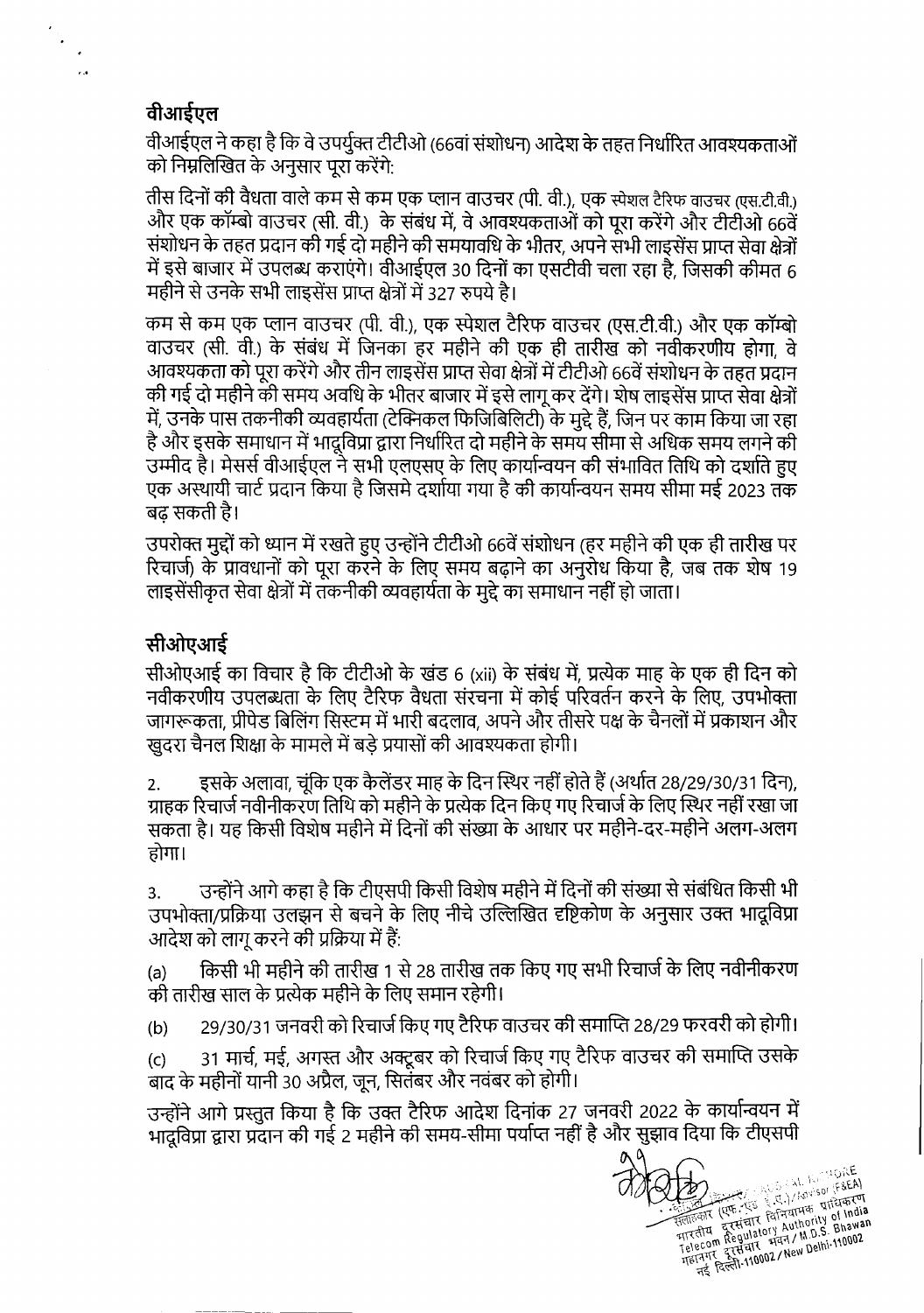### वीआईएल

 $\ddot{\phantom{a}}$ 

 $\mathbf{r}$ 

वीआईएल ने कहा है कि वे उपर्युक्त टीटीओ (66वां संशोधन) आदेश के तहत निर्धारित आवश्यकताओं को निम्नलिखित के अनुसार पूरा करेंगे:

तीस दिनों की वैधता वाले कम से कम एक प्लान वाउचर (पी. वी.), एक स्पेशल टैरिफ वाउचर (एस.टी.वी.) और एक कॉम्बो वाउचर (सी. वी.) के संबंध में, वे आवश्यकताओं को पूरा करेंगे और टीटीओ 66वें संशोधन के तहत प्रदान की गई दो महीने की समयावधि के भीतर, अपने संभी लाइसेंस प्राप्त सेवा क्षेत्रों में इसे बाजार में उपलब्ध कराएंगे। वीआईएल 30 दिनों का एसटीवी चला रहा है, जिसकी कीमत 6 महीने से उनके सभी लाइसेंस प्राप्त क्षेत्रों में 327 रुपये है।

कम से कम एक प्लान वाउचर (पी. वी.), एक स्पेशल टैरिफ वाउचर (एस.टी.वी.) और एक कॉम्बो वाउचर (सी. वी.) के संबंध में जिनका हर महीने की एक ही तारीख को नवीकरणीय होगा. वे आवश्यकता को पूरा करेंगे और तीन लाइसेंस प्राप्त सेवा क्षेत्रों में टीटीओ 66वें संशोधन के तहत प्रदान की गई दो महीने की समय अवधि के भीतर बाजार में इसे लागू कर देंगे। शेष लाइसेंस प्राप्त सेवा क्षेत्रों में, उनके पास तकनीकी व्यवहार्यता (टेक्निकल फिजिबिलिटी) के मुद्दे हैं, जिन पर काम किया जा रहा है और इसके समाधान में भादूविप्रा द्वारा निर्धारित दो महीने के समय सीमा से अधिक समय लगने की उम्मीद है। मेसर्स वीआईएल ने सभी एलएसए के लिए कार्यान्वयन की संभावित तिथि को दर्शाते हुए एक अस्थायी चार्ट प्रदान किया है जिसमे दर्शाया गया है की कार्यान्वयन समय सीमा मई 2023 तक बढ सकती है।

उपरोक्त मद्दों को ध्यान में रखते हुए उन्होंने टीटीओ 66वें संशोधन (हर महीने की एक ही तारीख पर रिचार्ज) के प्रावधानों को पूरा करने के लिए समय बढ़ाने का अनुरोध किया है, जब तक शेष 19 लाइसेंसीकृत सेवा क्षेत्रों में तकनीकी व्यवहार्यता के मुद्दे का समाधान नहीं हो जाता।

## सीओएआई

सीओएआई का विचार है कि टीटीओ के खंड 6 (xii) के संबंध में. प्रत्येक माह के एक ही दिन को नवीकरणीय उपलब्धता के लिए टैरिफ वैधता संरचना में कोई परिवर्तन करने के लिए, उपभोक्ता जागरूकता. प्रीपेड बिलिंग सिस्टम में भारी बदलाव, अपने और तीसरे पक्ष के चैनलों में प्रकाशन और खदरा चैनल शिक्षा के मामले में बड़े प्रयासों की आवश्यकता होगी।

इसके अलावा, चूंकि एक कैलेंडर माह के दिन स्थिर नहीं होते हैं (अर्थात 28/29/30/31 दिन),  $2.$ ग्राहक रिचार्ज नवीनीकरण तिथि को महीने के प्रत्येक दिन किए गए रिचार्ज के लिए स्थिर नहीं रखा जा सकता है। यह किसी विशेष महीने में दिनों की संख्या के आधार पर महीने-दर-महीने अलग-अलग होगा।

उन्होंने आगे कहा है कि टीएसपी किसी विशेष महीने में दिनों की संख्या से संबंधित किसी भी  $3<sub>1</sub>$ उपभोक्ता/प्रक्रिया उलझन से बचने के लिए नीचे उल्लिखित दृष्टिकोण के अनुसार उक्त भादूविप्रा आदेश को लागू करने की प्रक्रिया में हैं:

किसी भी महीने की तारीख 1 से 28 तारीख तक किए गए सभी रिचार्ज के लिए नवीनीकरण  $(a)$ की तारीख साल के प्रत्येक महीने के लिए समान रहेगी।

29/30/31 जनवरी को रिचार्ज किए गए टैरिफ वाउचर की समाप्ति 28/29 फरवरी को होगी।  $(b)$ 

31 मार्च, मई, अगस्त और अक्टूबर को रिचार्ज किए गए टैरिफ वाउचर की समाप्ति उसके  $(c)$ बाद के महीनों यानी 30 अप्रैल, जन, सितंबर और नवंबर को होगी।

उन्होंने आगे प्रस्तुत किया है कि उक्त टैरिफ आदेश दिनांक 27 जनवरी 2022 के कार्यान्वयन में भादूविप्रा द्वारा प्रदान की गई 2 महीने की समय-सीमा पर्याप्त नहीं है और सुझाव दिया कि टीएसपी

ELECTRIC CONTROL AND MONETAGE सलाहकार (एफ. १५५ % ५८%)/ havisor (१४६२)<br>सलाहकार (एफ. १५५ % द्विनियामक प्राधिकरण<br>बारसीय दूरसंचार विनियामक प्राप्त India<br>Telecom Regulatory Authority Bhawan<br>Telecom Regulatory Authority Behi-110002